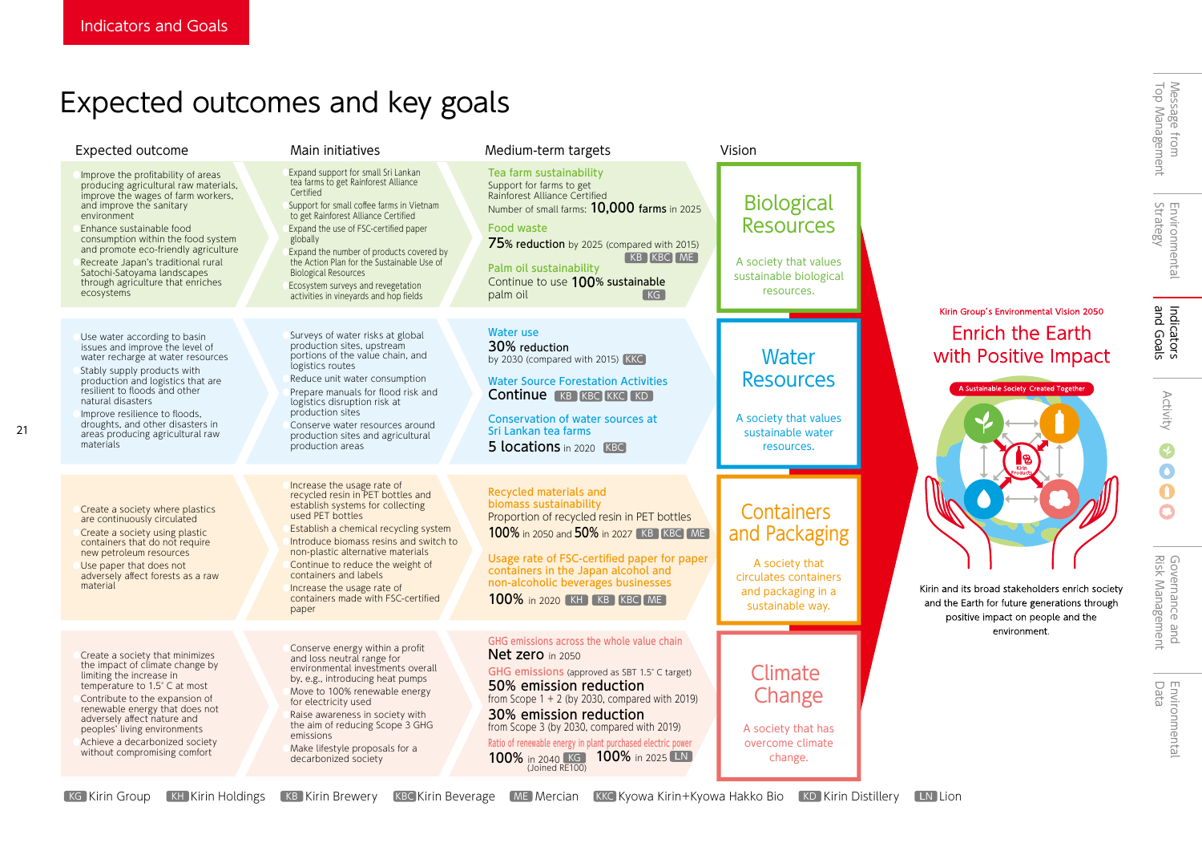21

# Expected outcomes and key goals

| Expected outcome                                                                                                                                                                                                                                                                                                                                                                               | Main initiatives                                                                                                                                                                                                                                                                                                                                                                                                                            | Medium-term targets                                                                                                                                                                                                                                                                                                                                                                       | Vision                                                                                                           |                                                                                                                                      |
|------------------------------------------------------------------------------------------------------------------------------------------------------------------------------------------------------------------------------------------------------------------------------------------------------------------------------------------------------------------------------------------------|---------------------------------------------------------------------------------------------------------------------------------------------------------------------------------------------------------------------------------------------------------------------------------------------------------------------------------------------------------------------------------------------------------------------------------------------|-------------------------------------------------------------------------------------------------------------------------------------------------------------------------------------------------------------------------------------------------------------------------------------------------------------------------------------------------------------------------------------------|------------------------------------------------------------------------------------------------------------------|--------------------------------------------------------------------------------------------------------------------------------------|
| Improve the profitability of areas<br>producing agricultural raw materials,<br>improve the wages of farm workers,<br>and improve the sanitary<br>environment<br>Enhance sustainable food<br>consumption within the food system<br>and promote eco-friendly agriculture<br>Recreate Japan's traditional rural<br>Satochi-Satoyama landscapes<br>through agriculture that enriches<br>ecosystems | Expand support for small Sri Lankan<br>tea farms to get Rainforest Alliance<br>Certified<br>Support for small coffee farms in Vietnam<br>to get Rainforest Alliance Certified<br>Expand the use of FSC-certified paper<br>globally<br>Expand the number of products covered by<br>the Action Plan for the Sustainable Use of<br><b>Biological Resources</b><br>Ecosystem surveys and revegetation<br>activities in vineyards and hop fields | Tea farm sustainability<br>Support for farms to get<br>Rainforest Alliance Certified<br>Number of small farms: 10,000 farms in 2025<br>Food waste<br>75% reduction by 2025 (compared with 2015)<br><b>KB KBC ME</b><br>Palm oil sustainability<br>Continue to use 100% sustainable<br>palm oil<br>KG                                                                                      | <b>Biological</b><br><b>Resources</b><br>A society that values<br>sustainable biological<br>resources.           |                                                                                                                                      |
| Use water according to basin<br>issues and improve the level of<br>water recharge at water resources<br>Stably supply products with<br>production and logistics that are<br>resilient to floods and other<br>natural disasters<br>Improve resilience to floods,<br>droughts, and other disasters in<br>areas producing agricultural raw<br>materials                                           | Surveys of water risks at global<br>production sites, upstream<br>portions of the value chain, and<br>logistics routes<br>Reduce unit water consumption<br>Prepare manuals for flood risk and<br>logistics disruption risk at<br>production sites<br>Conserve water resources around<br>production sites and agricultural<br>production areas                                                                                               | <b>Water use</b><br>30% reduction<br>by 2030 (compared with 2015) KKC<br><b>Water Source Forestation Activities</b><br><b>Continue KB KBC KKC KD</b><br>Conservation of water sources at<br>Sri Lankan tea farms<br>5 locations in 2020 [KBC]                                                                                                                                             | Water<br><b>Resources</b><br>A society that values<br>sustainable water<br>resources.                            | Kirin Group's Environmental Vision 2050<br><b>Enrich the Earth</b><br>with Positive Impact<br>A Sustainable Society Created Together |
| Create a society where plastics<br>are continuously circulated<br>Create a society using plastic<br>containers that do not require<br>new petroleum resources<br>Use paper that does not<br>adversely affect forests as a raw<br>material                                                                                                                                                      | Increase the usage rate of<br>recycled resin in PET bottles and<br>establish systems for collecting<br>used PET bottles<br>Establish a chemical recycling system<br>Introduce biomass resins and switch to<br>non-plastic alternative materials<br>Continue to reduce the weight of<br>containers and labels<br>Increase the usage rate of<br>containers made with FSC-certified<br>paper                                                   | Recycled materials and<br>biomass sustainability<br>Proportion of recycled resin in PET bottles<br>100% in 2050 and 50% in 2027 [KB ] KBC   ME<br>Usage rate of FSC-certified paper for paper<br>containers in the Japan alcohol and<br>non-alcoholic beverages businesses<br>100% in 2020 [KH] [KB] [KBC] ME]                                                                            | Containers<br>and Packaging<br>A society that<br>circulates containers<br>and packaging in a<br>sustainable way. | Kirin and its broad stakeholders enrich society<br>and the Earth for future generations through<br>positive impact on people and the |
| Create a society that minimizes<br>the impact of climate change by<br>limiting the increase in<br>temperature to 1.5° C at most<br>Contribute to the expansion of<br>renewable energy that does not<br>adversely affect nature and<br>peoples' living environments<br>Achieve a decarbonized society<br>without compromising comfort                                                           | Conserve energy within a profit<br>and loss neutral range for<br>environmental investments overall<br>by, e.g., introducing heat pumps<br>Move to 100% renewable energy<br>for electricity used<br>Raise awareness in society with<br>the aim of reducing Scope 3 GHG<br>emissions<br>Make lifestyle proposals for a<br>decarbonized society                                                                                                | GHG emissions across the whole value chain<br>Net zero in 2050<br>GHG emissions (approved as SBT 1.5° C target)<br>50% emission reduction<br>from Scope $1 + 2$ (by 2030, compared with 2019)<br>30% emission reduction<br>from Scope 3 (by 2030, compared with 2019)<br>Ratio of renewable energy in plant purchased electric power<br>100% in 2040 KG 100% in 2025 LN<br>(Joined RE100) | Climate<br>Change<br>A society that has<br>overcome climate<br>change.                                           | environment.                                                                                                                         |

KG Kirin Group [KH Kirin Holdings | KB Kirin Brewery | KBC Kirin Beverage | ME Mercian | KKC Kyowa Kirin+Kyowa Hakko Bio | KD Kirin Distillery | LN Lion

Top Management

 $\overline{O}$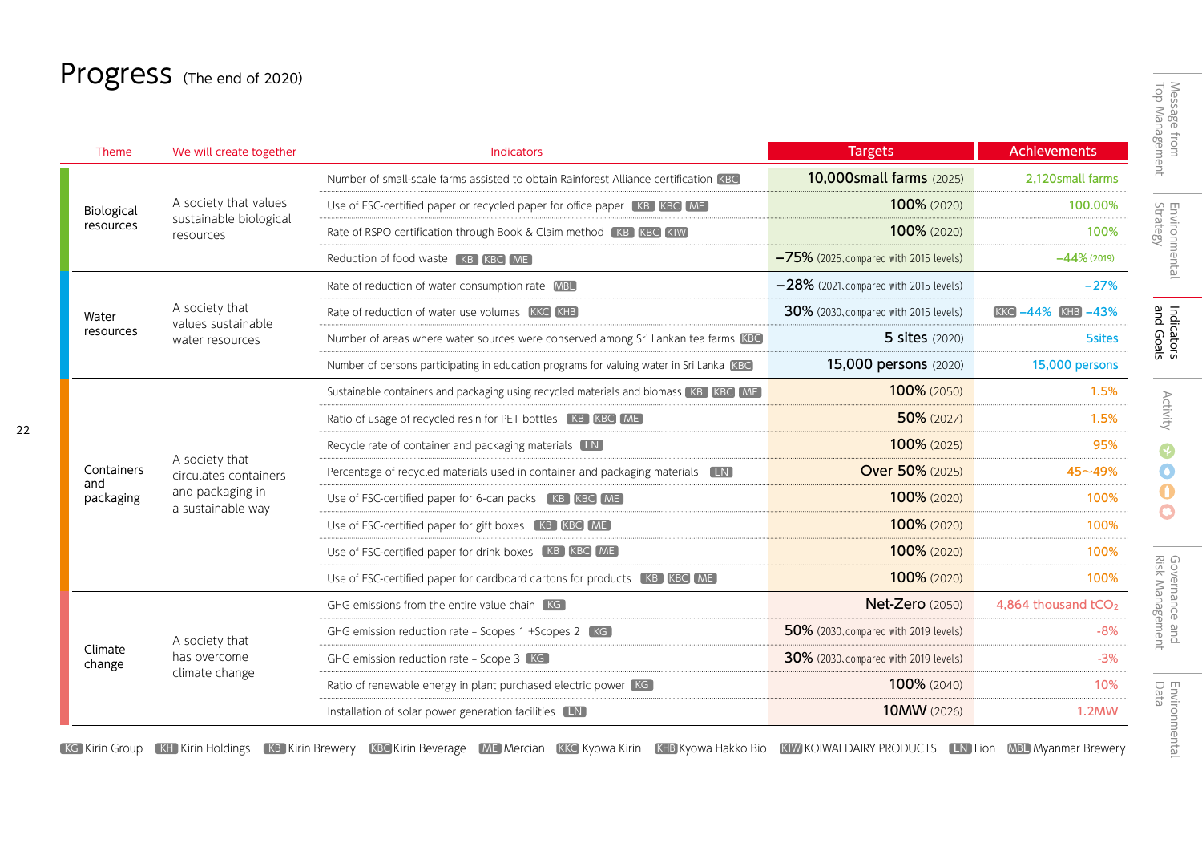# Progress (The end of 2020)

22

| Theme                          | We will create together                                                          | Indicators                                                                                | <b>Targets</b>                            | <b>Achievements</b>             |
|--------------------------------|----------------------------------------------------------------------------------|-------------------------------------------------------------------------------------------|-------------------------------------------|---------------------------------|
| Biological<br>resources        | A society that values<br>sustainable biological<br>resources                     | Number of small-scale farms assisted to obtain Rainforest Alliance certification KBC      | 10,000small farms (2025)                  | 2,120small farms                |
|                                |                                                                                  | Use of FSC-certified paper or recycled paper for office paper [KB] KBC ME]                | 100% (2020)                               | 100.00%                         |
|                                |                                                                                  | Rate of RSPO certification through Book & Claim method [KB] KBC KIW]                      | 100% (2020)                               | 100%                            |
|                                |                                                                                  | Reduction of food waste [KB] KBC [ME]                                                     | $-75%$ (2025, compared with 2015 levels)  | $-44\%$ (2019)                  |
| Water<br>resources             | A society that<br>values sustainable<br>water resources                          | Rate of reduction of water consumption rate MBL                                           | $-28\%$ (2021, compared with 2015 levels) | $-27%$                          |
|                                |                                                                                  | Rate of reduction of water use volumes KKC KHB                                            | 30% (2030, compared with 2015 levels)     | <b>KKC</b> -44% <b>KHB</b> -43% |
|                                |                                                                                  | Number of areas where water sources were conserved among Sri Lankan tea farms KBC         | <b>5 sites</b> (2020)                     | <b>5sites</b>                   |
|                                |                                                                                  | Number of persons participating in education programs for valuing water in Sri Lanka KBC  | 15,000 persons (2020)                     | 15,000 persons                  |
| Containers<br>and<br>packaging |                                                                                  | Sustainable containers and packaging using recycled materials and biomass [KB ] [KBC ] ME | 100% (2050)                               | 1.5%                            |
|                                | A society that<br>circulates containers<br>and packaging in<br>a sustainable way | Ratio of usage of recycled resin for PET bottles [KB] KBC ME                              | 50% (2027)                                | 1.5%                            |
|                                |                                                                                  | Recycle rate of container and packaging materials LN                                      | 100% (2025)                               | 95%                             |
|                                |                                                                                  | Percentage of recycled materials used in container and packaging materials LN             | <b>Over 50% (2025)</b>                    | $45 - 49%$                      |
|                                |                                                                                  | Use of FSC-certified paper for 6-can packs [KB] KBC ME]                                   | 100% (2020)                               | 100%                            |
|                                |                                                                                  | Use of FSC-certified paper for gift boxes [KB] KBC ME                                     | 100% (2020)                               | 100%                            |
|                                |                                                                                  | Use of FSC-certified paper for drink boxes [KB] KBC ME                                    | 100% (2020)                               | 100%                            |
|                                |                                                                                  | Use of FSC-certified paper for cardboard cartons for products [KB] KBC [ME]               | 100% (2020)                               | 100%                            |
| Climate<br>change              | A society that<br>has overcome<br>climate change                                 | GHG emissions from the entire value chain KG                                              | <b>Net-Zero</b> (2050)                    | 4,864 thousand tCO <sub>2</sub> |
|                                |                                                                                  | GHG emission reduction rate - Scopes 1 +Scopes 2 KG                                       | 50% (2030, compared with 2019 levels)     | $-8%$                           |
|                                |                                                                                  | GHG emission reduction rate - Scope 3 KG                                                  | 30% (2030, compared with 2019 levels)     | $-3%$                           |
|                                |                                                                                  | Ratio of renewable energy in plant purchased electric power KG                            | 100% (2040)                               | 10%                             |
|                                |                                                                                  | Installation of solar power generation facilities [LN]                                    | 10MW (2026)                               | 1.2MW                           |

KG Kirin Group [KH Kirin Holdings [KB Kirin Brewery [KBC Kirin Beverage [ME] Mercian [KKC Kyowa Kirin [KHB Kyowa Hakko Bio [KIW KOIWAI DAIRY PRODUCTS [LN] Lion [MBL] Myanmar Brewery

 $\ddot{\mathbf{0}}$  $\bullet$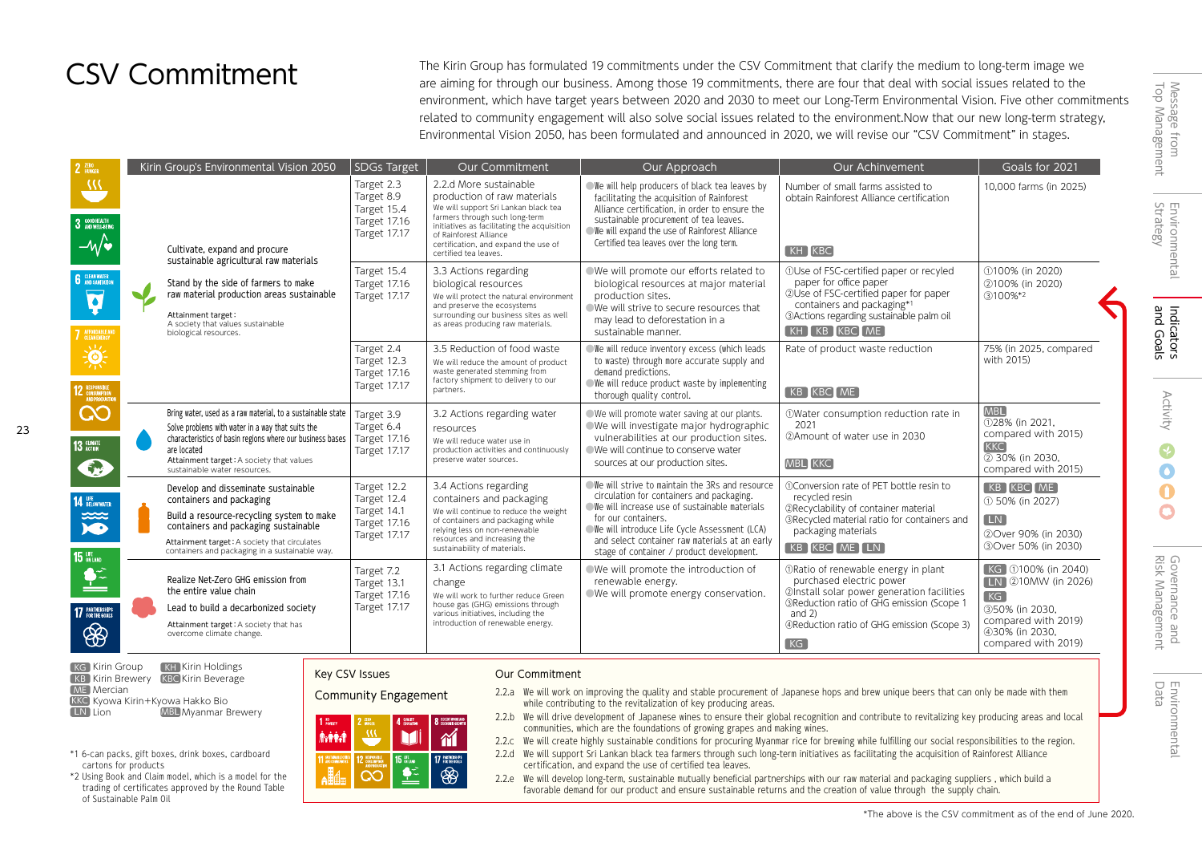## CSV Commitment

The Kirin Group has formulated 19 commitments under the CSV Commitment that clarify the medium to long-term image we are aiming for through our business. Among those 19 commitments, there are four that deal with social issues related to the environment, which have target years between 2020 and 2030 to meet our Long-Term Environmental Vision. Five other commitments related to community engagement will also solve social issues related to the environment.Now that our new long-term strategy, Environmental Vision 2050, has been formulated and announced in 2020, we will revise our "CSV Commitment" in stages.

| 2 ZERO                                                                               | Kirin Group's Environmental Vision 2050                                                                                                                                                                                                                                  | SDGs Target                                                               | <b>Our Commitment</b>                                                                                                                                                                                                                                                     | Our Approach                                                                                                                                                                                                                                                                                                         | Our Achinvement                                                                                                                                                                                                             | Goals for 2021                                                                                                                         |
|--------------------------------------------------------------------------------------|--------------------------------------------------------------------------------------------------------------------------------------------------------------------------------------------------------------------------------------------------------------------------|---------------------------------------------------------------------------|---------------------------------------------------------------------------------------------------------------------------------------------------------------------------------------------------------------------------------------------------------------------------|----------------------------------------------------------------------------------------------------------------------------------------------------------------------------------------------------------------------------------------------------------------------------------------------------------------------|-----------------------------------------------------------------------------------------------------------------------------------------------------------------------------------------------------------------------------|----------------------------------------------------------------------------------------------------------------------------------------|
| $\overline{\mathcal{W}}$<br>3 GOOD HEALTH<br>$-\sqrt{\bullet}$                       | Cultivate, expand and procure<br>sustainable agricultural raw materials<br>Stand by the side of farmers to make<br>raw material production areas sustainable<br>$\blacksquare$<br>Attainment target:<br>A society that values sustainable<br>biological resources.       | Target 2.3<br>Target 8.9<br>Target 15.4<br>Target 17.16<br>Target 17.17   | 2.2.d More sustainable<br>production of raw materials<br>We will support Sri Lankan black tea<br>farmers through such long-term<br>initiatives as facilitating the acquisition<br>of Rainforest Alliance<br>certification, and expand the use of<br>certified tea leaves. | We will help producers of black tea leaves by<br>facilitating the acquisition of Rainforest<br>Alliance certification, in order to ensure the<br>sustainable procurement of tea leaves.<br>We will expand the use of Rainforest Alliance<br>Certified tea leaves over the long term.                                 | Number of small farms assisted to<br>obtain Rainforest Alliance certification<br>$KH$ $KBC$                                                                                                                                 | 10.000 farms (in 2025)                                                                                                                 |
| <b>6</b> CLEAN WATER<br>$\overline{\mathbf{v}}$<br><b>7</b> AFFORDABLE AND           |                                                                                                                                                                                                                                                                          | Target 15.4<br>Target 17.16<br>Target 17.17                               | 3.3 Actions regarding<br>biological resources<br>We will protect the natural environment<br>and preserve the ecosystems<br>surrounding our business sites as well<br>as areas producing raw materials.                                                                    | We will promote our efforts related to<br>biological resources at major material<br>production sites.<br>We will strive to secure resources that<br>may lead to deforestation in a<br>sustainable manner.                                                                                                            | 10Use of FSC-certified paper or recyled<br>paper for office paper<br>2Use of FSC-certified paper for paper<br>containers and packaging*1<br><b>3Actions regarding sustainable palm oil</b><br>KH KB KBC ME                  | ①100% (in 2020)<br>2100% (in 2020)<br>$(3)100\%*2$                                                                                     |
| 美<br><b>12 RESPONSIBLE</b><br>AND PRODUCTK                                           |                                                                                                                                                                                                                                                                          | Target 2.4<br>Target 12.3<br>Target 17.16<br>Target 17.17                 | 3.5 Reduction of food waste<br>We will reduce the amount of product<br>waste generated stemming from<br>factory shipment to delivery to our<br>partners.                                                                                                                  | We will reduce inventory excess (which leads<br>to waste) through more accurate supply and<br>demand predictions.<br>We will reduce product waste by implementing<br>thorough quality control.                                                                                                                       | Rate of product waste reduction<br>[KB KBC ME]                                                                                                                                                                              | 75% (in 2025, compared<br>with 2015)                                                                                                   |
| လ<br>13 GLIMATE<br>Sug                                                               | Bring water, used as a raw material, to a sustainable state<br>Solve problems with water in a way that suits the<br>characteristics of basin regions where our business bases<br>are located<br>Attainment target: A society that values<br>sustainable water resources. | Target 3.9<br>Target 6.4<br><b>Target 17.16</b><br><b>Target 17.17</b>    | 3.2 Actions regarding water<br>resources<br>We will reduce water use in<br>production activities and continuously<br>preserve water sources.                                                                                                                              | ● We will promote water saving at our plants.<br>●We will investigate major hydrographic<br>vulnerabilities at our production sites.<br>○ We will continue to conserve water<br>sources at our production sites.                                                                                                     | 10Water consumption reduction rate in<br>2021<br>2Amount of water use in 2030<br><b>MBL</b> KKC                                                                                                                             | <b>MBL</b><br>128% (in 2021.<br>compared with 2015)<br><b>KKC</b><br>2 30% (in 2030,<br>compared with 2015)                            |
| <b>14 UFE</b> BELOW WATER<br>$\sum_{k=1}^{\infty}$<br><b>15</b> UFE                  | Develop and disseminate sustainable<br>containers and packaging<br>Build a resource-recycling system to make<br>containers and packaging sustainable<br>Attainment target: A society that circulates<br>containers and packaging in a sustainable way.                   | Target 12.2<br>Target 12.4<br>Target 14.1<br>Target 17.16<br>Target 17.17 | 3.4 Actions regarding<br>containers and packaging<br>We will continue to reduce the weight<br>of containers and packaging while<br>relying less on non-renewable<br>resources and increasing the<br>sustainability of materials.                                          | We will strive to maintain the 3Rs and resource<br>circulation for containers and packaging.<br>We will increase use of sustainable materials<br>for our containers.<br>We will introduce Life Cycle Assessment (LCA)<br>and select container raw materials at an early<br>stage of container / product development. | (1)Conversion rate of PET bottle resin to<br>recycled resin<br>2Recyclability of container material<br><b>3Recycled material ratio for containers and</b><br>packaging materials<br>KB KBC ME LN                            | KB KBC ME<br>① 50% (in 2027)<br><b>LN</b><br>20ver 90% (in 2030)<br>30ver 50% (in 2030)                                                |
| $\bullet$ <sup><math>\hat{ }</math></sup><br><b>17 PARTNERSHIPS</b><br>$\circledast$ | Realize Net-Zero GHG emission from<br>the entire value chain<br>Lead to build a decarbonized society<br>Attainment target: A society that has<br>overcome climate change.                                                                                                | Target 7.2<br>Target 13.1<br><b>Target 17.16</b><br>Target 17.17          | 3.1 Actions regarding climate<br>change<br>We will work to further reduce Green<br>house gas (GHG) emissions through<br>various initiatives, including the<br>introduction of renewable energy.                                                                           | ○We will promote the introduction of<br>renewable energy.<br>We will promote energy conservation.                                                                                                                                                                                                                    | ORatio of renewable energy in plant<br>purchased electric power<br>2 Install solar power generation facilities<br>3Reduction ratio of GHG emission (Scope 1<br>and $2)$<br>4Reduction ratio of GHG emission (Scope 3)<br>KG | KG 100% (in 2040)<br><b>IN</b> 210MW (in 2026)<br>KG<br>350% (in 2030.<br>compared with 2019)<br>430% (in 2030,<br>compared with 2019) |



cartons for products

of Sustainable Palm Oil

\*1 6-can packs, gift boxes, drink boxes, cardboard

\*2 Using Book and Claim model, which is a model for the trading of certificates approved by the Round Table

23

Community Engagement

### Key CSV Issues **Our Commitment**

#### $\Delta$  graphy  $\overline{m}$ M **Aviri**d  $\sim$ **15 UFE** 17 PARTNERSHIP  $\bullet$ 88  $\overline{\mathcal{C}}$

- 2.2.a We will work on improving the quality and stable procurement of Japanese hops and brew unique beers that can only be made with them while contributing to the revitalization of key producing areas.
- 2.2.b We will drive development of Japanese wines to ensure their global recognition and contribute to revitalizing key producing areas and local communities, which are the foundations of growing grapes and making wines.
- 2.2.c We will create highly sustainable conditions for procuring Myanmar rice for brewing while fulfilling our social responsibilities to the region.
- 2.2.d We will support Sri Lankan black tea farmers through such long-term initiatives as facilitating the acquisition of Rainforest Alliance certification, and expand the use of certified tea leaves.
- 2.2.e We will develop long-term, sustainable mutually beneficial partnerships with our raw material and packaging suppliers , which build a favorable demand for our product and ensure sustainable returns and the creation of value through the supply chain.